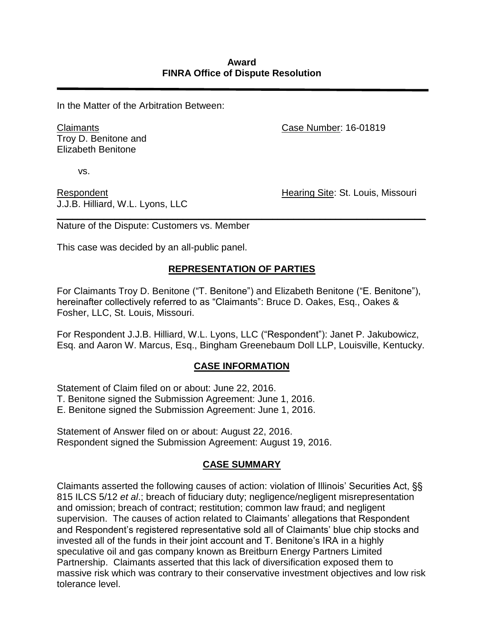In the Matter of the Arbitration Between:

Claimants Troy D. Benitone and Elizabeth Benitone

Case Number: 16-01819

vs.

Respondent J.J.B. Hilliard, W.L. Lyons, LLC Hearing Site: St. Louis, Missouri

*\_\_\_\_\_\_\_\_\_\_\_\_\_\_\_\_\_\_\_\_\_\_\_\_\_\_\_\_\_\_\_\_\_\_\_\_\_\_\_\_\_\_\_\_\_\_\_\_\_\_\_\_\_\_\_\_\_\_\_\_\_\_\_\_\_\_\_\_\_\_* Nature of the Dispute: Customers vs. Member

This case was decided by an all-public panel.

# **REPRESENTATION OF PARTIES**

For Claimants Troy D. Benitone ("T. Benitone") and Elizabeth Benitone ("E. Benitone"), hereinafter collectively referred to as "Claimants": Bruce D. Oakes, Esq., Oakes & Fosher, LLC, St. Louis, Missouri.

For Respondent J.J.B. Hilliard, W.L. Lyons, LLC ("Respondent"): Janet P. Jakubowicz, Esq. and Aaron W. Marcus, Esq., Bingham Greenebaum Doll LLP, Louisville, Kentucky.

### **CASE INFORMATION**

Statement of Claim filed on or about: June 22, 2016.

T. Benitone signed the Submission Agreement: June 1, 2016.

E. Benitone signed the Submission Agreement: June 1, 2016.

Statement of Answer filed on or about: August 22, 2016. Respondent signed the Submission Agreement: August 19, 2016.

### **CASE SUMMARY**

Claimants asserted the following causes of action: violation of Illinois' Securities Act, §§ 815 ILCS 5/12 *et al*.; breach of fiduciary duty; negligence/negligent misrepresentation and omission; breach of contract; restitution; common law fraud; and negligent supervision. The causes of action related to Claimants' allegations that Respondent and Respondent's registered representative sold all of Claimants' blue chip stocks and invested all of the funds in their joint account and T. Benitone's IRA in a highly speculative oil and gas company known as Breitburn Energy Partners Limited Partnership. Claimants asserted that this lack of diversification exposed them to massive risk which was contrary to their conservative investment objectives and low risk tolerance level.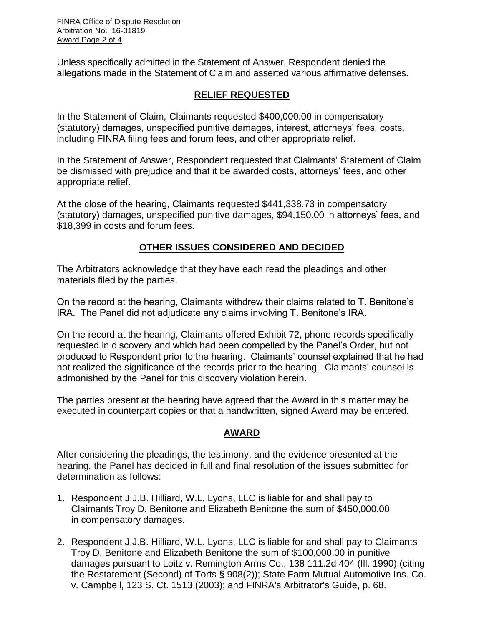Unless specifically admitted in the Statement of Answer, Respondent denied the allegations made in the Statement of Claim and asserted various affirmative defenses.

## **RELIEF REQUESTED**

In the Statement of Claim*,* Claimants requested \$400,000.00 in compensatory (statutory) damages, unspecified punitive damages, interest, attorneys' fees, costs, including FINRA filing fees and forum fees, and other appropriate relief.

In the Statement of Answer, Respondent requested that Claimants' Statement of Claim be dismissed with prejudice and that it be awarded costs, attorneys' fees, and other appropriate relief.

At the close of the hearing, Claimants requested \$441,338.73 in compensatory (statutory) damages, unspecified punitive damages, \$94,150.00 in attorneys' fees, and \$18,399 in costs and forum fees.

### **OTHER ISSUES CONSIDERED AND DECIDED**

The Arbitrators acknowledge that they have each read the pleadings and other materials filed by the parties.

On the record at the hearing, Claimants withdrew their claims related to T. Benitone's IRA. The Panel did not adjudicate any claims involving T. Benitone's IRA.

On the record at the hearing, Claimants offered Exhibit 72, phone records specifically requested in discovery and which had been compelled by the Panel's Order, but not produced to Respondent prior to the hearing. Claimants' counsel explained that he had not realized the significance of the records prior to the hearing. Claimants' counsel is admonished by the Panel for this discovery violation herein.

The parties present at the hearing have agreed that the Award in this matter may be executed in counterpart copies or that a handwritten, signed Award may be entered.

# **AWARD**

After considering the pleadings, the testimony, and the evidence presented at the hearing, the Panel has decided in full and final resolution of the issues submitted for determination as follows:

- 1. Respondent J.J.B. Hilliard, W.L. Lyons, LLC is liable for and shall pay to Claimants Troy D. Benitone and Elizabeth Benitone the sum of \$450,000.00 in compensatory damages.
- 2. Respondent J.J.B. Hilliard, W.L. Lyons, LLC is liable for and shall pay to Claimants Troy D. Benitone and Elizabeth Benitone the sum of \$100,000.00 in punitive damages pursuant to Loitz v. Remington Arms Co., 138 111.2d 404 (Ill. 1990) (citing the Restatement (Second) of Torts § 908(2)); State Farm Mutual Automotive Ins. Co. v. Campbell, 123 S. Ct. 1513 (2003); and FINRA's Arbitrator's Guide, p. 68.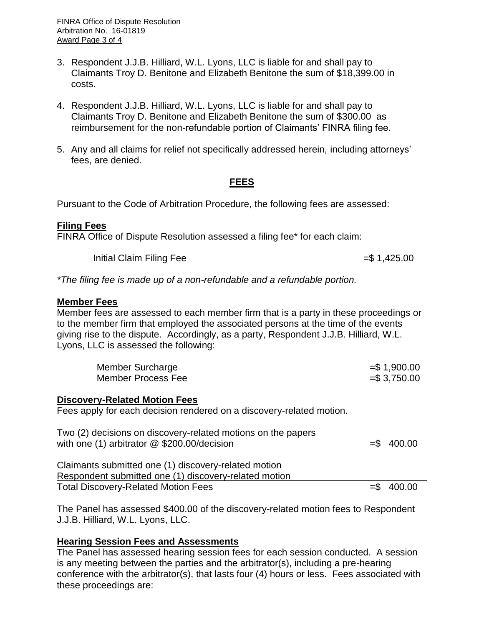- 3. Respondent J.J.B. Hilliard, W.L. Lyons, LLC is liable for and shall pay to Claimants Troy D. Benitone and Elizabeth Benitone the sum of \$18,399.00 in costs.
- 4. Respondent J.J.B. Hilliard, W.L. Lyons, LLC is liable for and shall pay to Claimants Troy D. Benitone and Elizabeth Benitone the sum of \$300.00 as reimbursement for the non-refundable portion of Claimants' FINRA filing fee.
- 5. Any and all claims for relief not specifically addressed herein, including attorneys' fees, are denied.

# **FEES**

Pursuant to the Code of Arbitration Procedure, the following fees are assessed:

#### **Filing Fees**

FINRA Office of Dispute Resolution assessed a filing fee\* for each claim:

 $\frac{1}{10}$  Initial Claim Filing Fee  $\frac{1}{10}$   $\frac{1}{25.00}$ 

*\*The filing fee is made up of a non-refundable and a refundable portion.* 

#### **Member Fees**

Member fees are assessed to each member firm that is a party in these proceedings or to the member firm that employed the associated persons at the time of the events giving rise to the dispute. Accordingly, as a party, Respondent J.J.B. Hilliard, W.L. Lyons, LLC is assessed the following:

| Member Surcharge   | $= $1,900.00$ |
|--------------------|---------------|
| Member Process Fee | $= $3,750.00$ |

### **Discovery-Related Motion Fees**

Fees apply for each decision rendered on a discovery-related motion.

| Two (2) decisions on discovery-related motions on the papers<br>with one (1) arbitrator $@$ \$200.00/decision | $= $ 400.00$ |
|---------------------------------------------------------------------------------------------------------------|--------------|
| Claimants submitted one (1) discovery-related motion                                                          |              |
| Respondent submitted one (1) discovery-related motion                                                         |              |
| <b>Total Discovery-Related Motion Fees</b>                                                                    | $=$ \$400.00 |

The Panel has assessed \$400.00 of the discovery-related motion fees to Respondent J.J.B. Hilliard, W.L. Lyons, LLC.

### **Hearing Session Fees and Assessments**

The Panel has assessed hearing session fees for each session conducted. A session is any meeting between the parties and the arbitrator(s), including a pre-hearing conference with the arbitrator(s), that lasts four (4) hours or less. Fees associated with these proceedings are: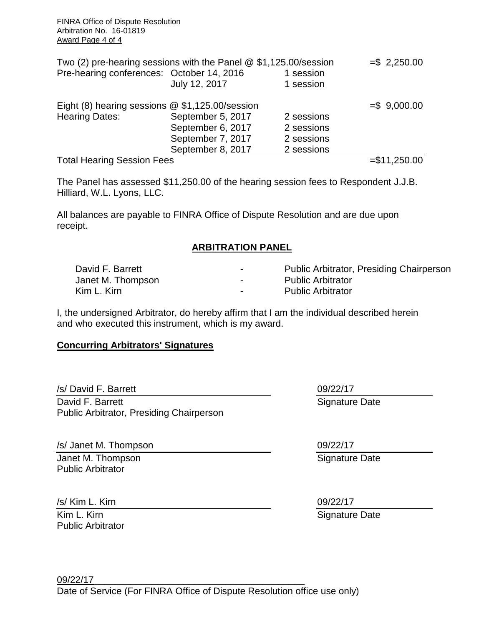| Two (2) pre-hearing sessions with the Panel $@$ \$1,125.00/session |                   |            | $= $ 2,250.00$ |
|--------------------------------------------------------------------|-------------------|------------|----------------|
| Pre-hearing conferences: October 14, 2016                          |                   | 1 session  |                |
|                                                                    | July 12, 2017     | 1 session  |                |
| Eight (8) hearing sessions $@$ \$1,125.00/session                  |                   |            | $= $ 9,000.00$ |
| <b>Hearing Dates:</b>                                              | September 5, 2017 | 2 sessions |                |
|                                                                    | September 6, 2017 | 2 sessions |                |
|                                                                    | September 7, 2017 | 2 sessions |                |
|                                                                    | September 8, 2017 | 2 sessions |                |
| <b>Total Hearing Session Fees</b>                                  |                   |            | $= $11,250.00$ |

The Panel has assessed \$11,250.00 of the hearing session fees to Respondent J.J.B. Hilliard, W.L. Lyons, LLC.

All balances are payable to FINRA Office of Dispute Resolution and are due upon receipt.

## **ARBITRATION PANEL**

| David F. Barrett  | -                        | <b>Public Arbitrator, Presiding Chairperson</b> |
|-------------------|--------------------------|-------------------------------------------------|
| Janet M. Thompson | $\overline{\phantom{a}}$ | <b>Public Arbitrator</b>                        |
| Kim L. Kirn       | -                        | <b>Public Arbitrator</b>                        |

I, the undersigned Arbitrator, do hereby affirm that I am the individual described herein and who executed this instrument, which is my award.

### **Concurring Arbitrators' Signatures**

/s/ David F. Barrett David F. Barrett Public Arbitrator, Presiding Chairperson

/s/ Janet M. Thompson Janet M. Thompson Public Arbitrator

/s/ Kim L. Kirn

Kim L. Kirn Public Arbitrator 09/22/17

Signature Date

09/22/17 Signature Date

09/22/17 Signature Date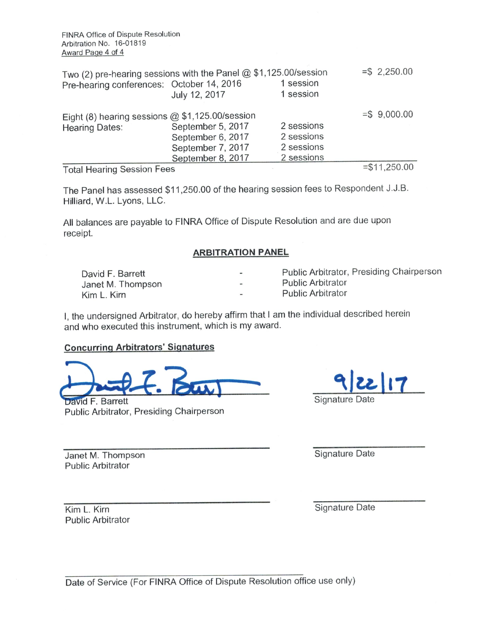| Two (2) pre-hearing sessions with the Panel $@$ \$1,125.00/session |                   |            | $= $ 2,250.00$ |
|--------------------------------------------------------------------|-------------------|------------|----------------|
| Pre-hearing conferences: October 14, 2016                          |                   | 1 session  |                |
|                                                                    | July 12, 2017     | 1 session  |                |
| Eight (8) hearing sessions $@$ \$1,125.00/session                  |                   |            | $= $ 9,000.00$ |
| <b>Hearing Dates:</b>                                              | September 5, 2017 | 2 sessions |                |
|                                                                    | September 6, 2017 | 2 sessions |                |
|                                                                    | September 7, 2017 | 2 sessions |                |
|                                                                    | September 8, 2017 | 2 sessions |                |
| <b>Total Hearing Session Fees</b>                                  |                   |            | $= $11,250.00$ |

Total Hearing Session Fees

The Panel has assessed \$11,250.00 of the hearing session fees to Respondent J.J.B. Hilliard, W.L. Lyons, LLC.

All balances are payable to FINRA Office of Dispute Resolution and are due upon receipt.

#### **ARBITRATION PANEL**

| David F. Barrett  | $\,$           | Public Arbitrator, Presiding Chairperson |
|-------------------|----------------|------------------------------------------|
| Janet M. Thompson | $\blacksquare$ | <b>Public Arbitrator</b>                 |
| Kim L. Kirn       | $\mathbf{m}$   | <b>Public Arbitrator</b>                 |

I, the undersigned Arbitrator, do hereby affirm that I am the individual described herein and who executed this instrument, which is my award.

#### **Concurring Arbitrators' Signatures**

David F. Barrett Public Arbitrator, Presiding Chairperson



Janet M. Thompson **Public Arbitrator** 

Signature Date

Kim L. Kirn **Public Arbitrator**  Signature Date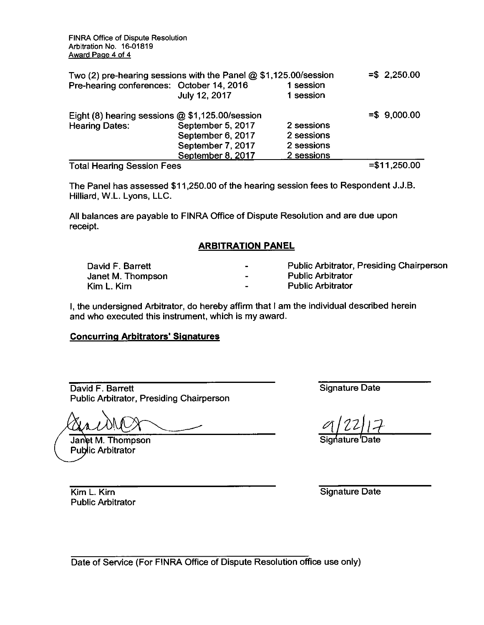FINRA Office of Dispute Resolution Arbitration No. 16-01819 Award Page 4 of 4

| Two (2) pre-hearing sessions with the Panel $@$ \$1,125.00/session |                   |            | $=$ \$2,250.00 |
|--------------------------------------------------------------------|-------------------|------------|----------------|
| Pre-hearing conferences: October 14, 2016                          |                   | 1 session  |                |
|                                                                    | July 12, 2017     | 1 session  |                |
| Eight (8) hearing sessions $@$1,125.00/s$ ession                   |                   |            | $= $ 9,000.00$ |
| <b>Hearing Dates:</b>                                              | September 5, 2017 | 2 sessions |                |
|                                                                    | September 6, 2017 | 2 sessions |                |
|                                                                    | September 7, 2017 | 2 sessions |                |
|                                                                    | September 8, 2017 | 2 sessions |                |
| <b>Total Hearing Session Fees</b>                                  |                   |            | $= $11,250.00$ |

The Panel has assessed \$11,250.00 of the hearing session fees to Respondent J.J.B. Hilliard, W.L. Lyons, LLC.

All balances are payable to FINRA Office of Dispute Resolution and are due upon receipt.

#### **ARBITRATION PANEL**

| David F. Barrett  |                          | <b>Public Arbitrator, Presiding Chairperson</b> |
|-------------------|--------------------------|-------------------------------------------------|
| Janet M. Thompson | $\overline{\phantom{0}}$ | <b>Public Arbitrator</b>                        |
| Kim L. Kim        |                          | <b>Public Arbitrator</b>                        |

I, the undersigned Arbitrator, do hereby affirm that I am the individual described herein and who executed this instrument, which is my award.

#### **Concurring Arbitrators' Signatures**

David F. Barrett Public Arbitrator, Presiding Chairperson

Janet M. Thompson **Public Arbitrator** 

Signature Date

Signature Date

Kim L. Kirn **Public Arbitrator**  Signature Date

Date of Service (For FINRA Office of Dispute Resolution office use only)